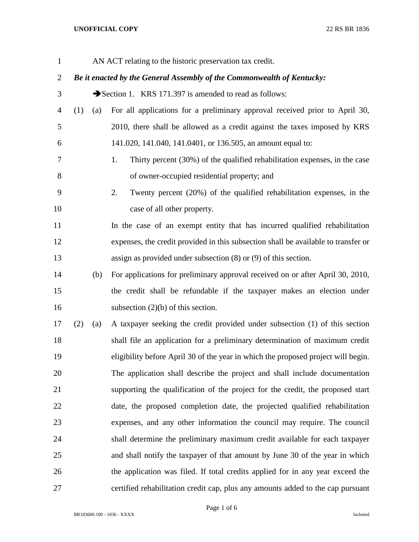## **UNOFFICIAL COPY** 22 RS BR 1836

| $\mathbf{1}$   |                                                                        |                                                       | AN ACT relating to the historic preservation tax credit.                           |  |  |  |  |
|----------------|------------------------------------------------------------------------|-------------------------------------------------------|------------------------------------------------------------------------------------|--|--|--|--|
| $\overline{c}$ | Be it enacted by the General Assembly of the Commonwealth of Kentucky: |                                                       |                                                                                    |  |  |  |  |
| 3              |                                                                        | Section 1. KRS 171.397 is amended to read as follows: |                                                                                    |  |  |  |  |
| $\overline{4}$ | (1)                                                                    | (a)                                                   | For all applications for a preliminary approval received prior to April 30,        |  |  |  |  |
| 5              |                                                                        |                                                       | 2010, there shall be allowed as a credit against the taxes imposed by KRS          |  |  |  |  |
| 6              |                                                                        |                                                       | 141.020, 141.040, 141.0401, or 136.505, an amount equal to:                        |  |  |  |  |
| 7              |                                                                        |                                                       | 1.<br>Thirty percent (30%) of the qualified rehabilitation expenses, in the case   |  |  |  |  |
| 8              |                                                                        |                                                       | of owner-occupied residential property; and                                        |  |  |  |  |
| 9              |                                                                        |                                                       | 2.<br>Twenty percent (20%) of the qualified rehabilitation expenses, in the        |  |  |  |  |
| 10             |                                                                        |                                                       | case of all other property.                                                        |  |  |  |  |
| 11             |                                                                        |                                                       | In the case of an exempt entity that has incurred qualified rehabilitation         |  |  |  |  |
| 12             |                                                                        |                                                       | expenses, the credit provided in this subsection shall be available to transfer or |  |  |  |  |
| 13             |                                                                        |                                                       | assign as provided under subsection $(8)$ or $(9)$ of this section.                |  |  |  |  |
| 14             |                                                                        | (b)                                                   | For applications for preliminary approval received on or after April 30, 2010,     |  |  |  |  |
| 15             |                                                                        |                                                       | the credit shall be refundable if the taxpayer makes an election under             |  |  |  |  |
| 16             |                                                                        |                                                       | subsection $(2)(b)$ of this section.                                               |  |  |  |  |
| 17             | (2)                                                                    | (a)                                                   | A taxpayer seeking the credit provided under subsection (1) of this section        |  |  |  |  |
| 18             |                                                                        |                                                       | shall file an application for a preliminary determination of maximum credit        |  |  |  |  |
| 19             |                                                                        |                                                       | eligibility before April 30 of the year in which the proposed project will begin.  |  |  |  |  |
| 20             |                                                                        |                                                       | The application shall describe the project and shall include documentation         |  |  |  |  |
| 21             |                                                                        |                                                       | supporting the qualification of the project for the credit, the proposed start     |  |  |  |  |
| 22             |                                                                        |                                                       | date, the proposed completion date, the projected qualified rehabilitation         |  |  |  |  |
| 23             |                                                                        |                                                       | expenses, and any other information the council may require. The council           |  |  |  |  |
| 24             |                                                                        |                                                       | shall determine the preliminary maximum credit available for each taxpayer         |  |  |  |  |
| 25             |                                                                        |                                                       | and shall notify the taxpayer of that amount by June 30 of the year in which       |  |  |  |  |
| 26             |                                                                        |                                                       | the application was filed. If total credits applied for in any year exceed the     |  |  |  |  |
| 27             |                                                                        |                                                       | certified rehabilitation credit cap, plus any amounts added to the cap pursuant    |  |  |  |  |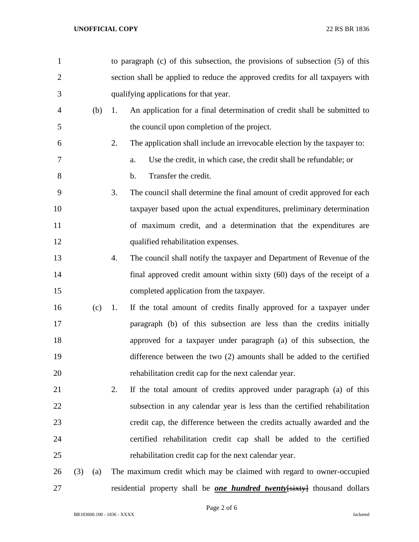| $\mathbf{1}$   |     |     | to paragraph $(c)$ of this subsection, the provisions of subsection $(5)$ of this |
|----------------|-----|-----|-----------------------------------------------------------------------------------|
| $\overline{2}$ |     |     | section shall be applied to reduce the approved credits for all taxpayers with    |
| 3              |     |     | qualifying applications for that year.                                            |
| 4              |     | (b) | An application for a final determination of credit shall be submitted to<br>1.    |
| 5              |     |     | the council upon completion of the project.                                       |
| 6              |     |     | 2.<br>The application shall include an irrevocable election by the taxpayer to:   |
| 7              |     |     | Use the credit, in which case, the credit shall be refundable; or<br>a.           |
| 8              |     |     | Transfer the credit.<br>$\mathbf b$ .                                             |
| 9              |     |     | 3.<br>The council shall determine the final amount of credit approved for each    |
| 10             |     |     | taxpayer based upon the actual expenditures, preliminary determination            |
| 11             |     |     | of maximum credit, and a determination that the expenditures are                  |
| 12             |     |     | qualified rehabilitation expenses.                                                |
| 13             |     |     | The council shall notify the taxpayer and Department of Revenue of the<br>4.      |
| 14             |     |     | final approved credit amount within sixty (60) days of the receipt of a           |
| 15             |     |     | completed application from the taxpayer.                                          |
| 16             |     | (c) | If the total amount of credits finally approved for a taxpayer under<br>1.        |
| 17             |     |     | paragraph (b) of this subsection are less than the credits initially              |
| 18             |     |     | approved for a taxpayer under paragraph (a) of this subsection, the               |
| 19             |     |     | difference between the two (2) amounts shall be added to the certified            |
| 20             |     |     | rehabilitation credit cap for the next calendar year.                             |
| 21             |     |     | 2.<br>If the total amount of credits approved under paragraph (a) of this         |
| 22             |     |     | subsection in any calendar year is less than the certified rehabilitation         |
| 23             |     |     | credit cap, the difference between the credits actually awarded and the           |
| 24             |     |     | certified rehabilitation credit cap shall be added to the certified               |
| 25             |     |     | rehabilitation credit cap for the next calendar year.                             |
| 26             | (3) | (a) | The maximum credit which may be claimed with regard to owner-occupied             |
| 27             |     |     | residential property shall be <b>one hundred twenty</b> [sixty] thousand dollars  |

Page 2 of 6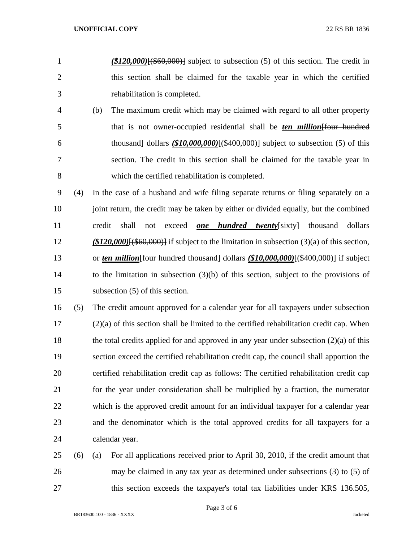- *(\$120,000)*[(\$60,000)] subject to subsection (5) of this section. The credit in this section shall be claimed for the taxable year in which the certified rehabilitation is completed.
- (b) The maximum credit which may be claimed with regard to all other property that is not owner-occupied residential shall be *ten million*[four hundred thousand] dollars *(\$10,000,000)*[(\$400,000)] subject to subsection (5) of this section. The credit in this section shall be claimed for the taxable year in which the certified rehabilitation is completed.
- (4) In the case of a husband and wife filing separate returns or filing separately on a 10 joint return, the credit may be taken by either or divided equally, but the combined credit shall not exceed *one hundred twenty*[sixty] thousand dollars *(\$120,000)*[(\$60,000)] if subject to the limitation in subsection (3)(a) of this section, 13 or *ten million* [four hundred thousand] dollars (\$10,000,000)<sup>[(\$400,000)]</sub> if subject</sup> to the limitation in subsection (3)(b) of this section, subject to the provisions of subsection (5) of this section.
- (5) The credit amount approved for a calendar year for all taxpayers under subsection (2)(a) of this section shall be limited to the certified rehabilitation credit cap. When the total credits applied for and approved in any year under subsection (2)(a) of this section exceed the certified rehabilitation credit cap, the council shall apportion the certified rehabilitation credit cap as follows: The certified rehabilitation credit cap for the year under consideration shall be multiplied by a fraction, the numerator which is the approved credit amount for an individual taxpayer for a calendar year and the denominator which is the total approved credits for all taxpayers for a calendar year.
- (6) (a) For all applications received prior to April 30, 2010, if the credit amount that may be claimed in any tax year as determined under subsections (3) to (5) of 27 this section exceeds the taxpayer's total tax liabilities under KRS 136.505,

Page 3 of 6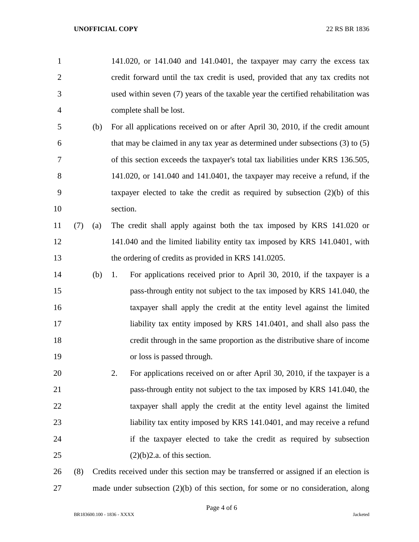| 1              |     |     |          | 141.020, or 141.040 and 141.0401, the taxpayer may carry the excess tax              |
|----------------|-----|-----|----------|--------------------------------------------------------------------------------------|
| $\overline{2}$ |     |     |          | credit forward until the tax credit is used, provided that any tax credits not       |
| 3              |     |     |          | used within seven (7) years of the taxable year the certified rehabilitation was     |
| $\overline{4}$ |     |     |          | complete shall be lost.                                                              |
| 5              |     | (b) |          | For all applications received on or after April 30, 2010, if the credit amount       |
| 6              |     |     |          | that may be claimed in any tax year as determined under subsections $(3)$ to $(5)$   |
| 7              |     |     |          | of this section exceeds the taxpayer's total tax liabilities under KRS 136.505,      |
| 8              |     |     |          | 141.020, or 141.040 and 141.0401, the taxpayer may receive a refund, if the          |
| 9              |     |     |          | taxpayer elected to take the credit as required by subsection $(2)(b)$ of this       |
| 10             |     |     | section. |                                                                                      |
| 11             | (7) | (a) |          | The credit shall apply against both the tax imposed by KRS 141.020 or                |
| 12             |     |     |          | 141.040 and the limited liability entity tax imposed by KRS 141.0401, with           |
| 13             |     |     |          | the ordering of credits as provided in KRS 141.0205.                                 |
| 14             |     | (b) | 1.       | For applications received prior to April 30, 2010, if the taxpayer is a              |
| 15             |     |     |          | pass-through entity not subject to the tax imposed by KRS 141.040, the               |
| 16             |     |     |          | taxpayer shall apply the credit at the entity level against the limited              |
| 17             |     |     |          | liability tax entity imposed by KRS 141.0401, and shall also pass the                |
| 18             |     |     |          | credit through in the same proportion as the distributive share of income            |
| 19             |     |     |          | or loss is passed through.                                                           |
| 20             |     |     | 2.       | For applications received on or after April 30, 2010, if the taxpayer is a           |
| 21             |     |     |          | pass-through entity not subject to the tax imposed by KRS 141.040, the               |
| 22             |     |     |          | taxpayer shall apply the credit at the entity level against the limited              |
| 23             |     |     |          | liability tax entity imposed by KRS 141.0401, and may receive a refund               |
| 24             |     |     |          | if the taxpayer elected to take the credit as required by subsection                 |
| 25             |     |     |          | $(2)(b)$ 2.a. of this section.                                                       |
| 26             | (8) |     |          | Credits received under this section may be transferred or assigned if an election is |
| 27             |     |     |          | made under subsection $(2)(b)$ of this section, for some or no consideration, along  |

Page 4 of 6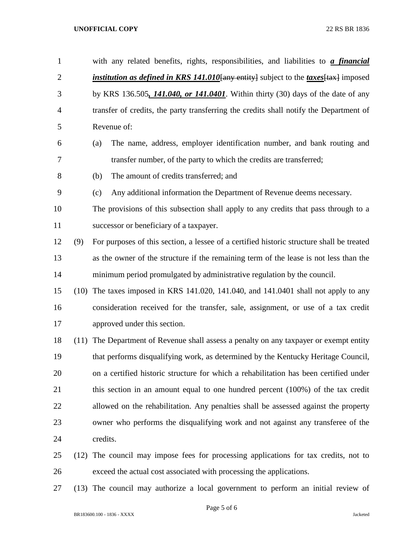## **UNOFFICIAL COPY** 22 RS BR 1836

| $\mathbf{1}$   |      | with any related benefits, rights, responsibilities, and liabilities to <i>a financial</i>          |  |  |  |
|----------------|------|-----------------------------------------------------------------------------------------------------|--|--|--|
| $\overline{2}$ |      | <i>institution as defined in KRS 141.010</i> [any entity] subject to the <i>taxes</i> [tax] imposed |  |  |  |
| 3              |      | by KRS 136.505, 141.040, or 141.0401. Within thirty (30) days of the date of any                    |  |  |  |
| $\overline{4}$ |      | transfer of credits, the party transferring the credits shall notify the Department of              |  |  |  |
| 5              |      | Revenue of:                                                                                         |  |  |  |
| 6              |      | The name, address, employer identification number, and bank routing and<br>(a)                      |  |  |  |
| 7              |      | transfer number, of the party to which the credits are transferred;                                 |  |  |  |
| 8              |      | The amount of credits transferred; and<br>(b)                                                       |  |  |  |
| 9              |      | Any additional information the Department of Revenue deems necessary.<br>(c)                        |  |  |  |
| 10             |      | The provisions of this subsection shall apply to any credits that pass through to a                 |  |  |  |
| 11             |      | successor or beneficiary of a taxpayer.                                                             |  |  |  |
| 12             | (9)  | For purposes of this section, a lessee of a certified historic structure shall be treated           |  |  |  |
| 13             |      | as the owner of the structure if the remaining term of the lease is not less than the               |  |  |  |
| 14             |      | minimum period promulgated by administrative regulation by the council.                             |  |  |  |
| 15             | (10) | The taxes imposed in KRS 141.020, 141.040, and 141.0401 shall not apply to any                      |  |  |  |
| 16             |      | consideration received for the transfer, sale, assignment, or use of a tax credit                   |  |  |  |
| 17             |      | approved under this section.                                                                        |  |  |  |
| 18             | (11) | The Department of Revenue shall assess a penalty on any taxpayer or exempt entity                   |  |  |  |
| 19             |      | that performs disqualifying work, as determined by the Kentucky Heritage Council,                   |  |  |  |
| 20             |      | on a certified historic structure for which a rehabilitation has been certified under               |  |  |  |
| 21             |      | this section in an amount equal to one hundred percent (100%) of the tax credit                     |  |  |  |
| 22             |      | allowed on the rehabilitation. Any penalties shall be assessed against the property                 |  |  |  |
| 23             |      | owner who performs the disqualifying work and not against any transferee of the                     |  |  |  |
| 24             |      | credits.                                                                                            |  |  |  |
| 25             | (12) | The council may impose fees for processing applications for tax credits, not to                     |  |  |  |
|                |      |                                                                                                     |  |  |  |

- exceed the actual cost associated with processing the applications.
- (13) The council may authorize a local government to perform an initial review of